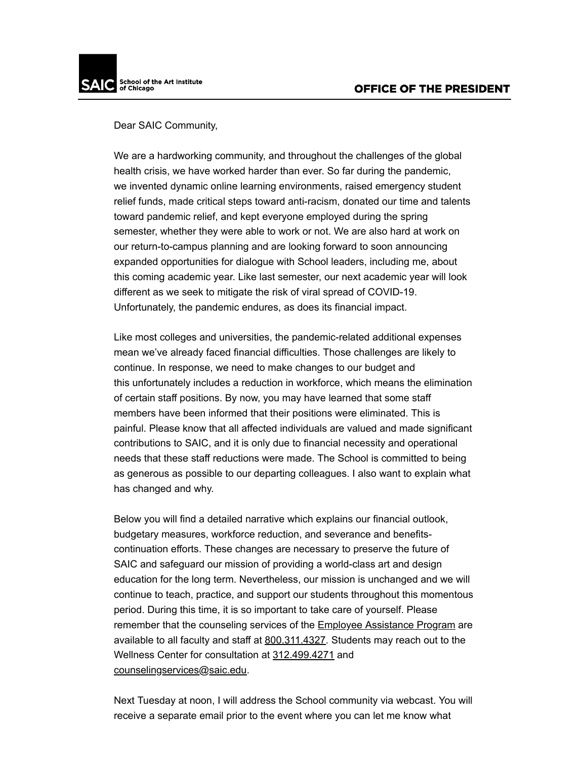Dear SAIC Community,

We are a hardworking community, and throughout the challenges of the global health crisis, we have worked harder than ever. So far during the pandemic, we invented dynamic online learning environments, raised emergency student relief funds, made critical steps toward anti-racism, donated our time and talents toward pandemic relief, and kept everyone employed during the spring semester, whether they were able to work or not. We are also hard at work on our return-to-campus planning and are looking forward to soon announcing expanded opportunities for dialogue with School leaders, including me, about this coming academic year. Like last semester, our next academic year will look different as we seek to mitigate the risk of viral spread of COVID-19. Unfortunately, the pandemic endures, as does its financial impact.

Like most colleges and universities, the pandemic-related additional expenses mean we've already faced financial difficulties. Those challenges are likely to continue. In response, we need to make changes to our budget and this unfortunately includes a reduction in workforce, which means the elimination of certain staff positions. By now, you may have learned that some staff members have been informed that their positions were eliminated. This is painful. Please know that all affected individuals are valued and made significant contributions to SAIC, and it is only due to financial necessity and operational needs that these staff reductions were made. The School is committed to being as generous as possible to our departing colleagues. I also want to explain what has changed and why.

Below you will find a detailed narrative which explains our financial outlook, budgetary measures, workforce reduction, and severance and benefitscontinuation efforts. These changes are necessary to preserve the future of SAIC and safeguard our mission of providing a world-class art and design education for the long term. Nevertheless, our mission is unchanged and we will continue to teach, practice, and support our students throughout this momentous period. During this time, it is so important to take care of yourself. Please remember that the counseling services of the [Employee Assistance Program](http://click.email.saic.edu/?qs=19a4d125220551cbff39bcb84ccc445d2c2067e350fc1b3958ca5663fd0f300b81b6fd7ba1dd620784a27a4395bfb084277965c0becafb4b) are available to all faculty and staff at [800.311.4327.](tel:8003114327) Students may reach out to the Wellness Center for consultation at [312.499.4271](tel:3124994271) and [counselingservices@saic.edu.](mailto:counselingservices@saic.edu?subject=)

Next Tuesday at noon, I will address the School community via webcast. You will receive a separate email prior to the event where you can let me know what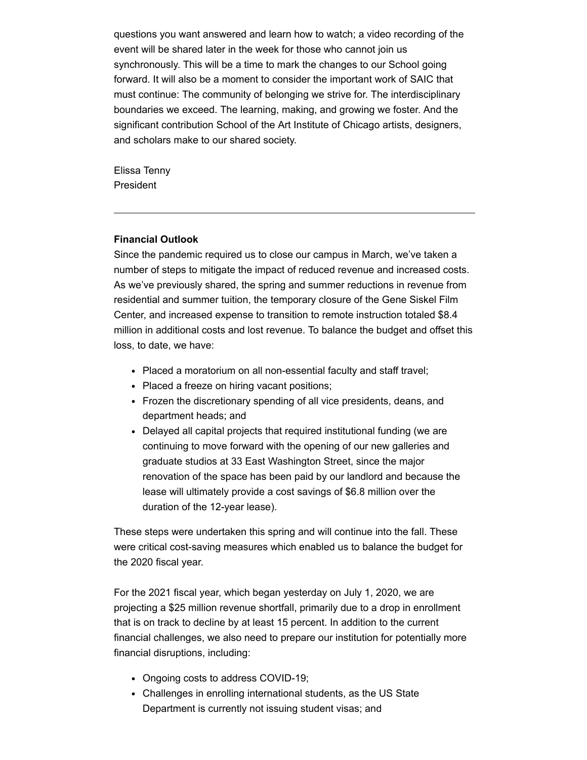questions you want answered and learn how to watch; a video recording of the event will be shared later in the week for those who cannot join us synchronously. This will be a time to mark the changes to our School going forward. It will also be a moment to consider the important work of SAIC that must continue: The community of belonging we strive for. The interdisciplinary boundaries we exceed. The learning, making, and growing we foster. And the significant contribution School of the Art Institute of Chicago artists, designers, and scholars make to our shared society.

Elissa Tenny President

### **Financial Outlook**

Since the pandemic required us to close our campus in March, we've taken a number of steps to mitigate the impact of reduced revenue and increased costs. As we've previously shared, the spring and summer reductions in revenue from residential and summer tuition, the temporary closure of the Gene Siskel Film Center, and increased expense to transition to remote instruction totaled \$8.4 million in additional costs and lost revenue. To balance the budget and offset this loss, to date, we have:

- Placed a moratorium on all non-essential faculty and staff travel;
- Placed a freeze on hiring vacant positions;
- Frozen the discretionary spending of all vice presidents, deans, and department heads; and
- Delayed all capital projects that required institutional funding (we are continuing to move forward with the opening of our new galleries and graduate studios at 33 East Washington Street, since the major renovation of the space has been paid by our landlord and because the lease will ultimately provide a cost savings of \$6.8 million over the duration of the 12-year lease).

These steps were undertaken this spring and will continue into the fall. These were critical cost-saving measures which enabled us to balance the budget for the 2020 fiscal year.

For the 2021 fiscal year, which began yesterday on July 1, 2020, we are projecting a \$25 million revenue shortfall, primarily due to a drop in enrollment that is on track to decline by at least 15 percent. In addition to the current financial challenges, we also need to prepare our institution for potentially more financial disruptions, including:

- Ongoing costs to address COVID-19;
- Challenges in enrolling international students, as the US State Department is currently not issuing student visas; and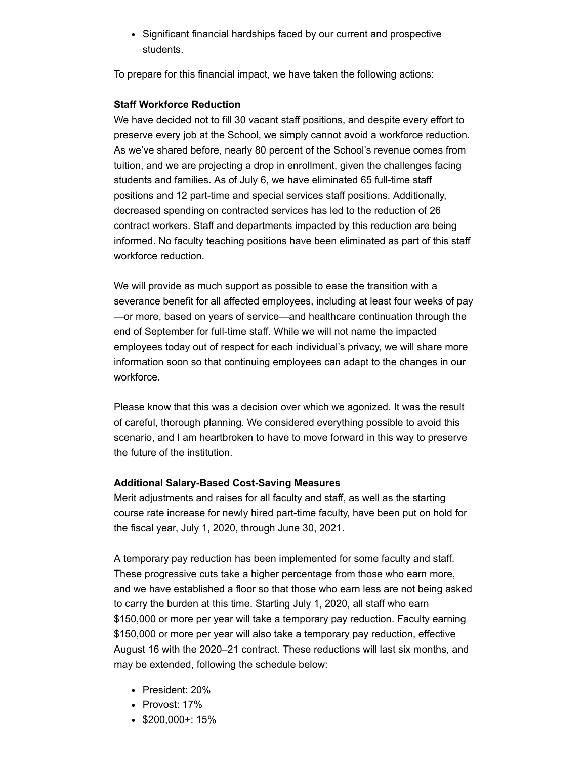• Significant financial hardships faced by our current and prospective students.

To prepare for this financial impact, we have taken the following actions:

## **Staff Workforce Reduction**

We have decided not to fill 30 vacant staff positions, and despite every effort to preserve every job at the School, we simply cannot avoid a workforce reduction. As we've shared before, nearly 80 percent of the School's revenue comes from tuition, and we are projecting a drop in enrollment, given the challenges facing students and families. As of July 6, we have eliminated 65 full-time staff positions and 12 part-time and special services staff positions. Additionally, decreased spending on contracted services has led to the reduction of 26 contract workers. Staff and departments impacted by this reduction are being informed. No faculty teaching positions have been eliminated as part of this staff workforce reduction.

We will provide as much support as possible to ease the transition with a severance benefit for all affected employees, including at least four weeks of pay —or more, based on years of service—and healthcare continuation through the end of September for full-time staff. While we will not name the impacted employees today out of respect for each individual's privacy, we will share more information soon so that continuing employees can adapt to the changes in our workforce.

Please know that this was a decision over which we agonized. It was the result of careful, thorough planning. We considered everything possible to avoid this scenario, and I am heartbroken to have to move forward in this way to preserve the future of the institution.

### **Additional Salary-Based Cost-Saving Measures**

Merit adjustments and raises for all faculty and staff, as well as the starting course rate increase for newly hired part-time faculty, have been put on hold for the fiscal year, July 1, 2020, through June 30, 2021.

A temporary pay reduction has been implemented for some faculty and staff. These progressive cuts take a higher percentage from those who earn more, and we have established a floor so that those who earn less are not being asked to carry the burden at this time. Starting July 1, 2020, all staff who earn \$150,000 or more per year will take a temporary pay reduction. Faculty earning \$150,000 or more per year will also take a temporary pay reduction, effective August 16 with the 2020–21 contract. These reductions will last six months, and may be extended, following the schedule below:

- President: 20%
- Provost: 17%
- $\bullet$  \$200,000+: 15%